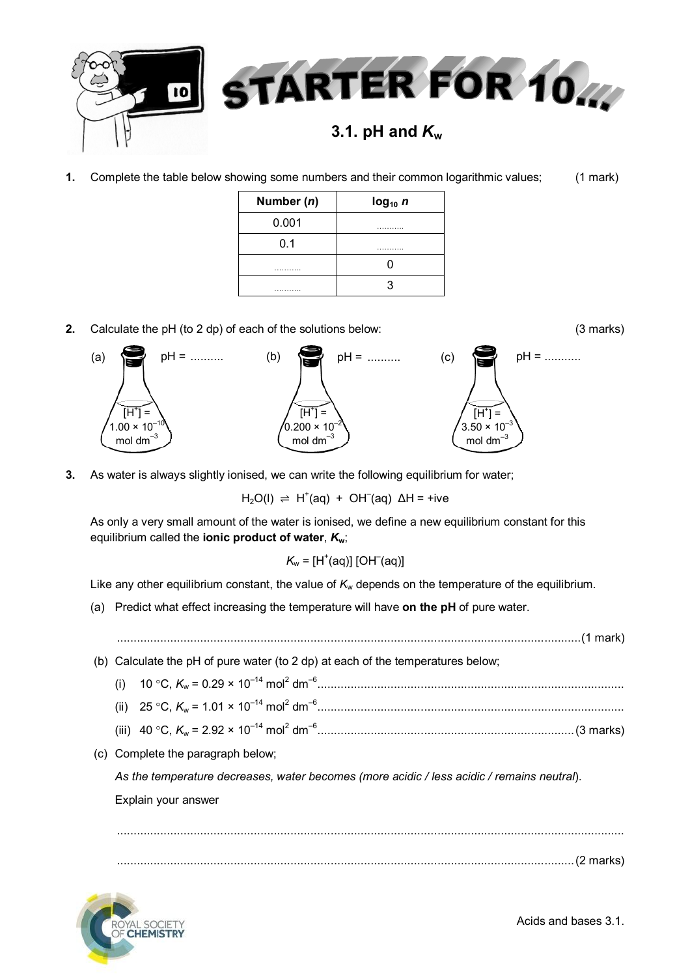

**1.** Complete the table below showing some numbers and their common logarithmic values; (1 mark)

| Number (n) | log <sub>10</sub> n |
|------------|---------------------|
| 0.001      | .                   |
| 0.1        | .                   |
| .          |                     |
| .          |                     |

**2.** Calculate the pH (to 2 dp) of each of the solutions below: (3 marks)



**3.** As water is always slightly ionised, we can write the following equilibrium for water;

 $H<sub>2</sub>O(1)$   $\Rightarrow$  H<sup>+</sup>(aq) + OH<sup>-</sup>(aq) ΔH = +ive

As only a very small amount of the water is ionised, we define a new equilibrium constant for this equilibrium called the **ionic product of water**, *K***w**;

$$
K_{w} = [H^{\dagger}(aq)] [OH^-(aq)]
$$

Like any other equilibrium constant, the value of  $K_w$  depends on the temperature of the equilibrium.

(a) Predict what effect increasing the temperature will have **on the pH** of pure water.

...........................................................................................................................................(1 mark)

(b) Calculate the pH of pure water (to 2 dp) at each of the temperatures below;

- (i) 10 C, *K*<sup>w</sup> = 0.29 × 10–14 mol<sup>2</sup> dm–6 ............................................................................................
- (ii) 25 C, *K*<sup>w</sup> = 1.01 × 10–14 mol<sup>2</sup> dm–6 ............................................................................................
- (iii) 40 C, *K*<sup>w</sup> = 2.92 × 10–14 mol<sup>2</sup> dm–6 .............................................................................(3 marks)
- (c) Complete the paragraph below;

*As the temperature decreases, water becomes (more acidic / less acidic / remains neutral*).

Explain your answer

........................................................................................................................................................ .........................................................................................................................................(2 marks)

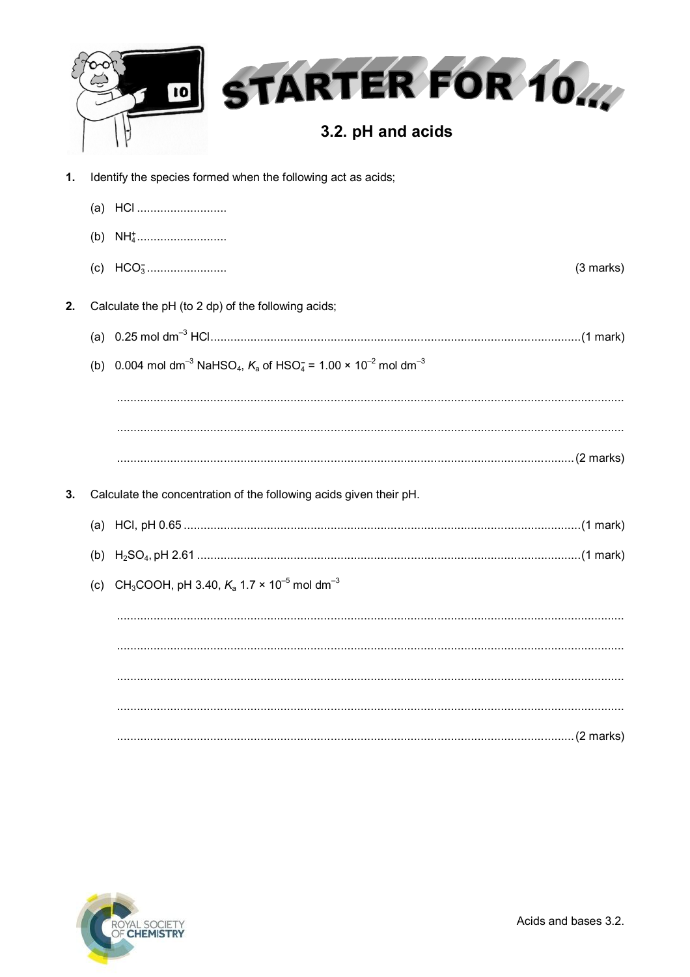|    | <b>STARTER FOR 10.4</b><br> 10 <br>3.2. pH and acids                                                                         |           |
|----|------------------------------------------------------------------------------------------------------------------------------|-----------|
| 1. | Identify the species formed when the following act as acids;                                                                 |           |
|    |                                                                                                                              |           |
|    |                                                                                                                              |           |
|    |                                                                                                                              | (3 marks) |
| 2. | Calculate the pH (to 2 dp) of the following acids;                                                                           |           |
|    |                                                                                                                              |           |
|    | (b) 0.004 mol dm <sup>-3</sup> NaHSO <sub>4</sub> , $K_a$ of HSO <sub>4</sub> = 1.00 × 10 <sup>-2</sup> mol dm <sup>-3</sup> |           |
|    |                                                                                                                              |           |
|    |                                                                                                                              |           |
|    |                                                                                                                              |           |
| 3. | Calculate the concentration of the following acids given their pH.                                                           |           |
|    |                                                                                                                              |           |
|    |                                                                                                                              |           |
|    | (c) CH <sub>3</sub> COOH, pH 3.40, $K_a$ 1.7 $\times$ 10 <sup>-5</sup> mol dm <sup>-3</sup>                                  |           |
|    |                                                                                                                              |           |
|    |                                                                                                                              |           |
|    |                                                                                                                              |           |
|    |                                                                                                                              |           |
|    |                                                                                                                              |           |